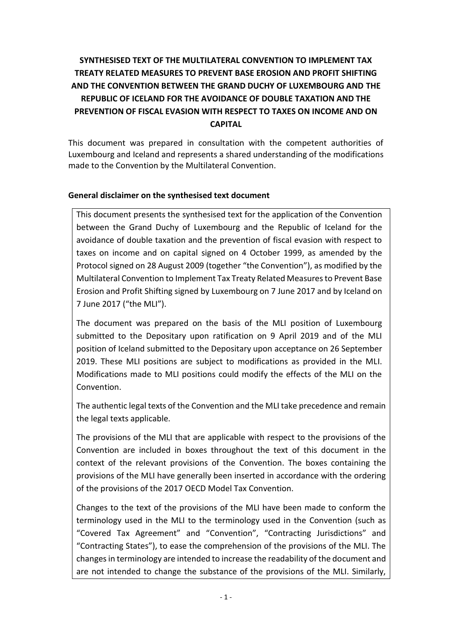# **SYNTHESISED TEXT OF THE MULTILATERAL CONVENTION TO IMPLEMENT TAX TREATY RELATED MEASURES TO PREVENT BASE EROSION AND PROFIT SHIFTING AND THE CONVENTION BETWEEN THE GRAND DUCHY OF LUXEMBOURG AND THE REPUBLIC OF ICELAND FOR THE AVOIDANCE OF DOUBLE TAXATION AND THE PREVENTION OF FISCAL EVASION WITH RESPECT TO TAXES ON INCOME AND ON CAPITAL**

This document was prepared in consultation with the competent authorities of Luxembourg and Iceland and represents a shared understanding of the modifications made to the Convention by the Multilateral Convention.

### **General disclaimer on the synthesised text document**

This document presents the synthesised text for the application of the Convention between the Grand Duchy of Luxembourg and the Republic of Iceland for the avoidance of double taxation and the prevention of fiscal evasion with respect to taxes on income and on capital signed on 4 October 1999, as amended by the Protocol signed on 28 August 2009 (together "the Convention"), as modified by the Multilateral Convention to Implement Tax Treaty Related Measures to Prevent Base Erosion and Profit Shifting signed by Luxembourg on 7 June 2017 and by Iceland on 7 June 2017 ("the MLI").

The document was prepared on the basis of the MLI position of Luxembourg submitted to the Depositary upon ratification on 9 April 2019 and of the MLI position of Iceland submitted to the Depositary upon acceptance on 26 September 2019. These MLI positions are subject to modifications as provided in the MLI. Modifications made to MLI positions could modify the effects of the MLI on the Convention.

The authentic legal texts of the Convention and the MLI take precedence and remain the legal texts applicable.

The provisions of the MLI that are applicable with respect to the provisions of the Convention are included in boxes throughout the text of this document in the context of the relevant provisions of the Convention. The boxes containing the provisions of the MLI have generally been inserted in accordance with the ordering of the provisions of the 2017 OECD Model Tax Convention.

Changes to the text of the provisions of the MLI have been made to conform the terminology used in the MLI to the terminology used in the Convention (such as "Covered Tax Agreement" and "Convention", "Contracting Jurisdictions" and "Contracting States"), to ease the comprehension of the provisions of the MLI. The changes in terminology are intended to increase the readability of the document and are not intended to change the substance of the provisions of the MLI. Similarly,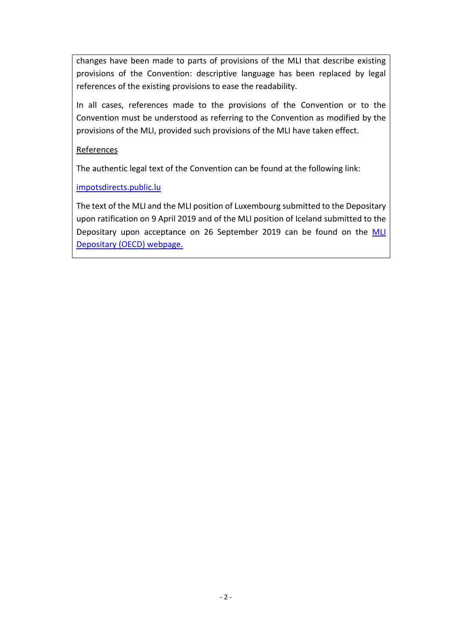changes have been made to parts of provisions of the MLI that describe existing provisions of the Convention: descriptive language has been replaced by legal references of the existing provisions to ease the readability.

In all cases, references made to the provisions of the Convention or to the Convention must be understood as referring to the Convention as modified by the provisions of the MLI, provided such provisions of the MLI have taken effect.

### References

The authentic legal text of the Convention can be found at the following link:

[impotsdirects.public.lu](https://impotsdirects.public.lu/fr.html)

The text of the MLI and the MLI position of Luxembourg submitted to the Depositary upon ratification on 9 April 2019 and of the MLI position of Iceland submitted to the Depositary upon acceptance on 26 September 2019 can be found on the MLI [Depositary \(OECD\) webpage.](https://www.oecd.org/tax/treaties/multilateral-convention-to-implement-tax-treaty-related-measures-to-prevent-beps.htm)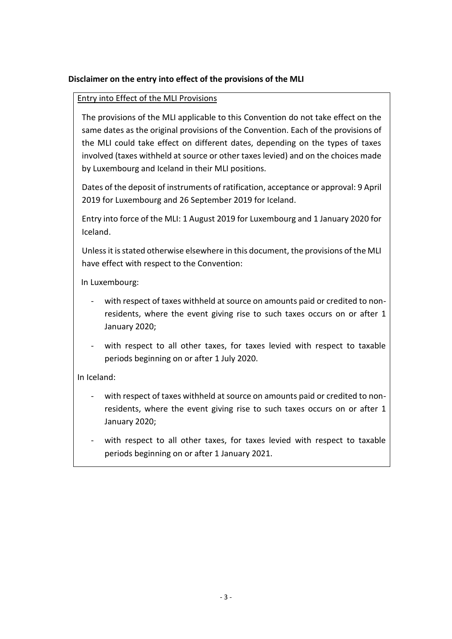### **Disclaimer on the entry into effect of the provisions of the MLI**

#### Entry into Effect of the MLI Provisions

The provisions of the MLI applicable to this Convention do not take effect on the same dates as the original provisions of the Convention. Each of the provisions of the MLI could take effect on different dates, depending on the types of taxes involved (taxes withheld at source or other taxes levied) and on the choices made by Luxembourg and Iceland in their MLI positions.

Dates of the deposit of instruments of ratification, acceptance or approval: 9 April 2019 for Luxembourg and 26 September 2019 for Iceland.

Entry into force of the MLI: 1 August 2019 for Luxembourg and 1 January 2020 for Iceland.

Unless it is stated otherwise elsewhere in this document, the provisions of the MLI have effect with respect to the Convention:

In Luxembourg:

- with respect of taxes withheld at source on amounts paid or credited to nonresidents, where the event giving rise to such taxes occurs on or after 1 January 2020;
- with respect to all other taxes, for taxes levied with respect to taxable periods beginning on or after 1 July 2020.

In Iceland:

- with respect of taxes withheld at source on amounts paid or credited to nonresidents, where the event giving rise to such taxes occurs on or after 1 January 2020;
- with respect to all other taxes, for taxes levied with respect to taxable periods beginning on or after 1 January 2021.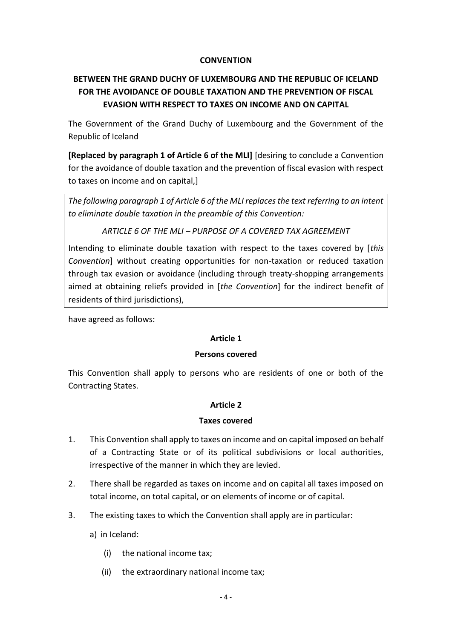#### **CONVENTION**

## **BETWEEN THE GRAND DUCHY OF LUXEMBOURG AND THE REPUBLIC OF ICELAND FOR THE AVOIDANCE OF DOUBLE TAXATION AND THE PREVENTION OF FISCAL EVASION WITH RESPECT TO TAXES ON INCOME AND ON CAPITAL**

The Government of the Grand Duchy of Luxembourg and the Government of the Republic of Iceland

**[Replaced by paragraph 1 of Article 6 of the MLI]** [desiring to conclude a Convention for the avoidance of double taxation and the prevention of fiscal evasion with respect to taxes on income and on capital,]

*The following paragraph 1 of Article 6 of the MLI replaces the text referring to an intent to eliminate double taxation in the preamble of this Convention:*

*ARTICLE 6 OF THE MLI – PURPOSE OF A COVERED TAX AGREEMENT*

Intending to eliminate double taxation with respect to the taxes covered by [*this Convention*] without creating opportunities for non-taxation or reduced taxation through tax evasion or avoidance (including through treaty-shopping arrangements aimed at obtaining reliefs provided in [*the Convention*] for the indirect benefit of residents of third jurisdictions),

have agreed as follows:

### **Article 1**

#### **Persons covered**

This Convention shall apply to persons who are residents of one or both of the Contracting States.

### **Article 2**

#### **Taxes covered**

- 1. This Convention shall apply to taxes on income and on capital imposed on behalf of a Contracting State or of its political subdivisions or local authorities, irrespective of the manner in which they are levied.
- 2. There shall be regarded as taxes on income and on capital all taxes imposed on total income, on total capital, or on elements of income or of capital.
- 3. The existing taxes to which the Convention shall apply are in particular:

a) in Iceland:

- (i) the national income tax;
- (ii) the extraordinary national income tax;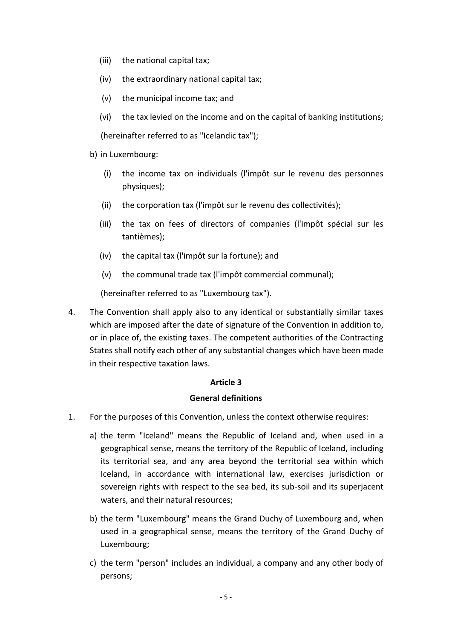- (iii) the national capital tax;
- (iv) the extraordinary national capital tax;
- (v) the municipal income tax; and
- (vi) the tax levied on the income and on the capital of banking institutions;

(hereinafter referred to as "Icelandic tax");

- b) in Luxembourg:
	- (i) the income tax on individuals (l'impôt sur le revenu des personnes physiques);
	- (ii) the corporation tax (l'impôt sur le revenu des collectivités);
	- (iii) the tax on fees of directors of companies (l'impôt spécial sur les tantièmes);
	- (iv) the capital tax (l'impôt sur la fortune); and
	- (v) the communal trade tax (l'impôt commercial communal);

(hereinafter referred to as "Luxembourg tax").

4. The Convention shall apply also to any identical or substantially similar taxes which are imposed after the date of signature of the Convention in addition to, or in place of, the existing taxes. The competent authorities of the Contracting States shall notify each other of any substantial changes which have been made in their respective taxation laws.

#### **Article 3**

#### **General definitions**

- 1. For the purposes of this Convention, unless the context otherwise requires:
	- a) the term "Iceland" means the Republic of Iceland and, when used in a geographical sense, means the territory of the Republic of Iceland, including its territorial sea, and any area beyond the territorial sea within which Iceland, in accordance with international law, exercises jurisdiction or sovereign rights with respect to the sea bed, its sub-soil and its superjacent waters, and their natural resources;
	- b) the term "Luxembourg" means the Grand Duchy of Luxembourg and, when used in a geographical sense, means the territory of the Grand Duchy of Luxembourg;
	- c) the term "person" includes an individual, a company and any other body of persons;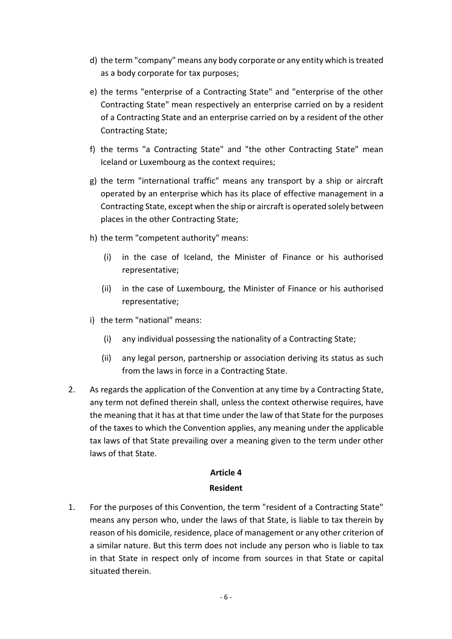- d) the term "company" means any body corporate or any entity which is treated as a body corporate for tax purposes;
- e) the terms "enterprise of a Contracting State" and "enterprise of the other Contracting State" mean respectively an enterprise carried on by a resident of a Contracting State and an enterprise carried on by a resident of the other Contracting State;
- f) the terms "a Contracting State" and "the other Contracting State" mean Iceland or Luxembourg as the context requires;
- g) the term "international traffic" means any transport by a ship or aircraft operated by an enterprise which has its place of effective management in a Contracting State, except when the ship or aircraft is operated solely between places in the other Contracting State;
- h) the term "competent authority" means:
	- (i) in the case of Iceland, the Minister of Finance or his authorised representative;
	- (ii) in the case of Luxembourg, the Minister of Finance or his authorised representative;
- i) the term "national" means:
	- (i) any individual possessing the nationality of a Contracting State;
	- (ii) any legal person, partnership or association deriving its status as such from the laws in force in a Contracting State.
- 2. As regards the application of the Convention at any time by a Contracting State, any term not defined therein shall, unless the context otherwise requires, have the meaning that it has at that time under the law of that State for the purposes of the taxes to which the Convention applies, any meaning under the applicable tax laws of that State prevailing over a meaning given to the term under other laws of that State.

#### **Resident**

1. For the purposes of this Convention, the term "resident of a Contracting State" means any person who, under the laws of that State, is liable to tax therein by reason of his domicile, residence, place of management or any other criterion of a similar nature. But this term does not include any person who is liable to tax in that State in respect only of income from sources in that State or capital situated therein.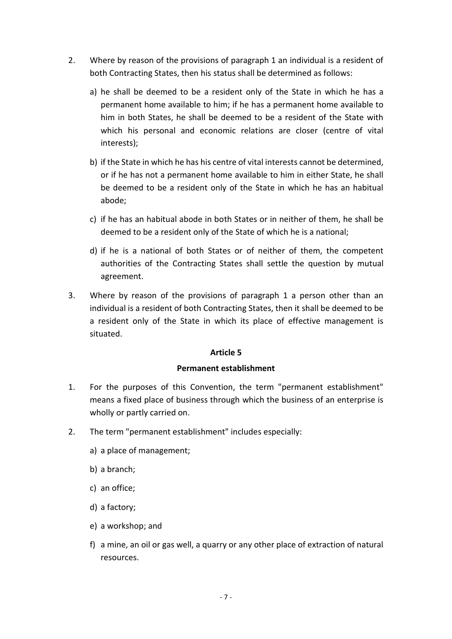- 2. Where by reason of the provisions of paragraph 1 an individual is a resident of both Contracting States, then his status shall be determined as follows:
	- a) he shall be deemed to be a resident only of the State in which he has a permanent home available to him; if he has a permanent home available to him in both States, he shall be deemed to be a resident of the State with which his personal and economic relations are closer (centre of vital interests);
	- b) if the State in which he has his centre of vital interests cannot be determined, or if he has not a permanent home available to him in either State, he shall be deemed to be a resident only of the State in which he has an habitual abode;
	- c) if he has an habitual abode in both States or in neither of them, he shall be deemed to be a resident only of the State of which he is a national;
	- d) if he is a national of both States or of neither of them, the competent authorities of the Contracting States shall settle the question by mutual agreement.
- 3. Where by reason of the provisions of paragraph 1 a person other than an individual is a resident of both Contracting States, then it shall be deemed to be a resident only of the State in which its place of effective management is situated.

#### **Permanent establishment**

- 1. For the purposes of this Convention, the term "permanent establishment" means a fixed place of business through which the business of an enterprise is wholly or partly carried on.
- 2. The term "permanent establishment" includes especially:
	- a) a place of management;
	- b) a branch;
	- c) an office;
	- d) a factory;
	- e) a workshop; and
	- f) a mine, an oil or gas well, a quarry or any other place of extraction of natural resources.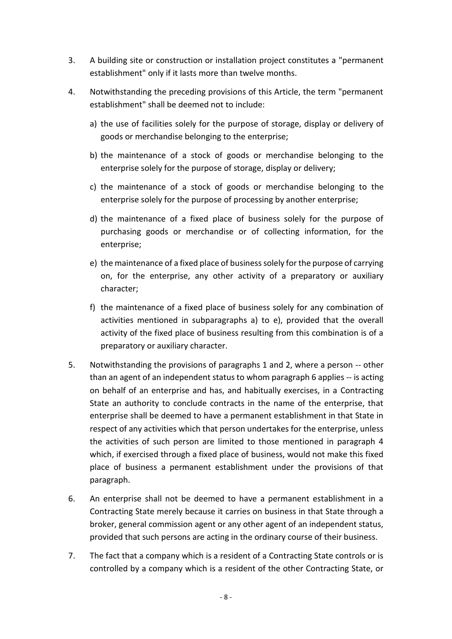- 3. A building site or construction or installation project constitutes a "permanent establishment" only if it lasts more than twelve months.
- 4. Notwithstanding the preceding provisions of this Article, the term "permanent establishment" shall be deemed not to include:
	- a) the use of facilities solely for the purpose of storage, display or delivery of goods or merchandise belonging to the enterprise;
	- b) the maintenance of a stock of goods or merchandise belonging to the enterprise solely for the purpose of storage, display or delivery;
	- c) the maintenance of a stock of goods or merchandise belonging to the enterprise solely for the purpose of processing by another enterprise;
	- d) the maintenance of a fixed place of business solely for the purpose of purchasing goods or merchandise or of collecting information, for the enterprise;
	- e) the maintenance of a fixed place of business solely for the purpose of carrying on, for the enterprise, any other activity of a preparatory or auxiliary character;
	- f) the maintenance of a fixed place of business solely for any combination of activities mentioned in subparagraphs a) to e), provided that the overall activity of the fixed place of business resulting from this combination is of a preparatory or auxiliary character.
- 5. Notwithstanding the provisions of paragraphs 1 and 2, where a person -- other than an agent of an independent status to whom paragraph 6 applies -- is acting on behalf of an enterprise and has, and habitually exercises, in a Contracting State an authority to conclude contracts in the name of the enterprise, that enterprise shall be deemed to have a permanent establishment in that State in respect of any activities which that person undertakes for the enterprise, unless the activities of such person are limited to those mentioned in paragraph 4 which, if exercised through a fixed place of business, would not make this fixed place of business a permanent establishment under the provisions of that paragraph.
- 6. An enterprise shall not be deemed to have a permanent establishment in a Contracting State merely because it carries on business in that State through a broker, general commission agent or any other agent of an independent status, provided that such persons are acting in the ordinary course of their business.
- 7. The fact that a company which is a resident of a Contracting State controls or is controlled by a company which is a resident of the other Contracting State, or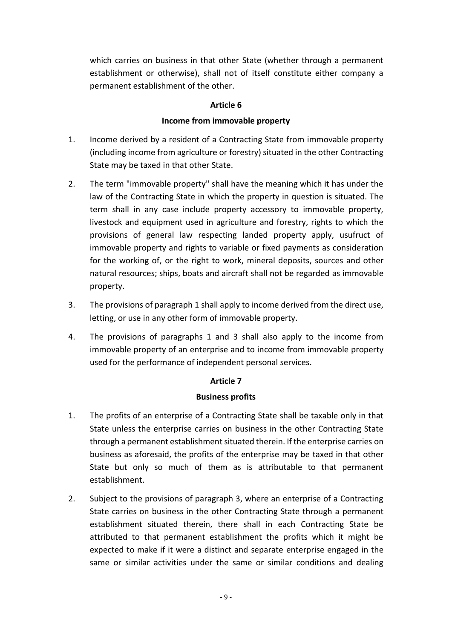which carries on business in that other State (whether through a permanent establishment or otherwise), shall not of itself constitute either company a permanent establishment of the other.

#### **Article 6**

#### **Income from immovable property**

- 1. Income derived by a resident of a Contracting State from immovable property (including income from agriculture or forestry) situated in the other Contracting State may be taxed in that other State.
- 2. The term "immovable property" shall have the meaning which it has under the law of the Contracting State in which the property in question is situated. The term shall in any case include property accessory to immovable property, livestock and equipment used in agriculture and forestry, rights to which the provisions of general law respecting landed property apply, usufruct of immovable property and rights to variable or fixed payments as consideration for the working of, or the right to work, mineral deposits, sources and other natural resources; ships, boats and aircraft shall not be regarded as immovable property.
- 3. The provisions of paragraph 1 shall apply to income derived from the direct use, letting, or use in any other form of immovable property.
- 4. The provisions of paragraphs 1 and 3 shall also apply to the income from immovable property of an enterprise and to income from immovable property used for the performance of independent personal services.

### **Article 7**

### **Business profits**

- 1. The profits of an enterprise of a Contracting State shall be taxable only in that State unless the enterprise carries on business in the other Contracting State through a permanent establishment situated therein. If the enterprise carries on business as aforesaid, the profits of the enterprise may be taxed in that other State but only so much of them as is attributable to that permanent establishment.
- 2. Subject to the provisions of paragraph 3, where an enterprise of a Contracting State carries on business in the other Contracting State through a permanent establishment situated therein, there shall in each Contracting State be attributed to that permanent establishment the profits which it might be expected to make if it were a distinct and separate enterprise engaged in the same or similar activities under the same or similar conditions and dealing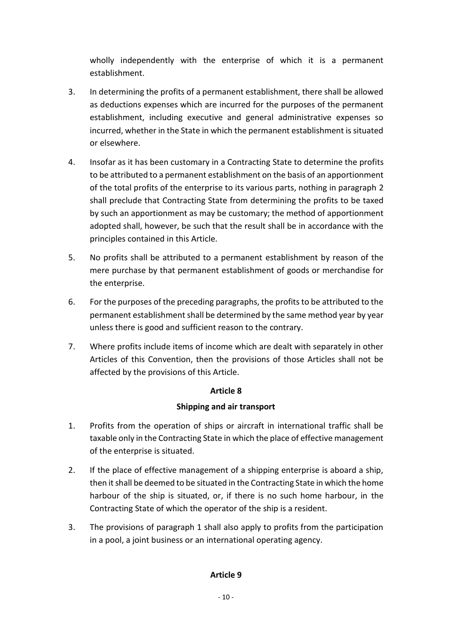wholly independently with the enterprise of which it is a permanent establishment.

- 3. In determining the profits of a permanent establishment, there shall be allowed as deductions expenses which are incurred for the purposes of the permanent establishment, including executive and general administrative expenses so incurred, whether in the State in which the permanent establishment is situated or elsewhere.
- 4. Insofar as it has been customary in a Contracting State to determine the profits to be attributed to a permanent establishment on the basis of an apportionment of the total profits of the enterprise to its various parts, nothing in paragraph 2 shall preclude that Contracting State from determining the profits to be taxed by such an apportionment as may be customary; the method of apportionment adopted shall, however, be such that the result shall be in accordance with the principles contained in this Article.
- 5. No profits shall be attributed to a permanent establishment by reason of the mere purchase by that permanent establishment of goods or merchandise for the enterprise.
- 6. For the purposes of the preceding paragraphs, the profits to be attributed to the permanent establishment shall be determined by the same method year by year unless there is good and sufficient reason to the contrary.
- 7. Where profits include items of income which are dealt with separately in other Articles of this Convention, then the provisions of those Articles shall not be affected by the provisions of this Article.

## **Article 8**

## **Shipping and air transport**

- 1. Profits from the operation of ships or aircraft in international traffic shall be taxable only in the Contracting State in which the place of effective management of the enterprise is situated.
- 2. If the place of effective management of a shipping enterprise is aboard a ship, then it shall be deemed to be situated in the Contracting State in which the home harbour of the ship is situated, or, if there is no such home harbour, in the Contracting State of which the operator of the ship is a resident.
- 3. The provisions of paragraph 1 shall also apply to profits from the participation in a pool, a joint business or an international operating agency.

### **Article 9**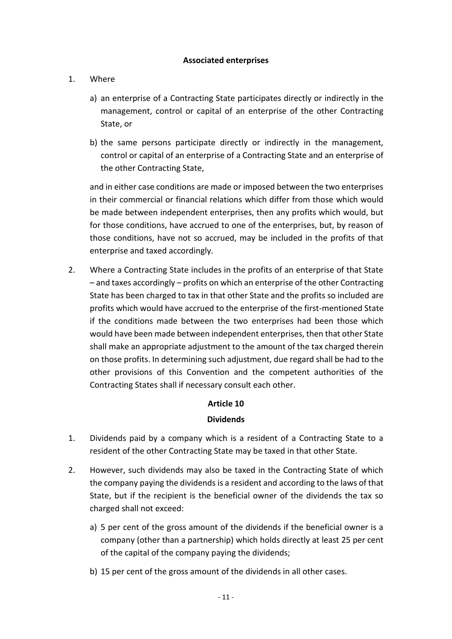#### **Associated enterprises**

### 1. Where

- a) an enterprise of a Contracting State participates directly or indirectly in the management, control or capital of an enterprise of the other Contracting State, or
- b) the same persons participate directly or indirectly in the management, control or capital of an enterprise of a Contracting State and an enterprise of the other Contracting State,

and in either case conditions are made or imposed between the two enterprises in their commercial or financial relations which differ from those which would be made between independent enterprises, then any profits which would, but for those conditions, have accrued to one of the enterprises, but, by reason of those conditions, have not so accrued, may be included in the profits of that enterprise and taxed accordingly.

2. Where a Contracting State includes in the profits of an enterprise of that State – and taxes accordingly – profits on which an enterprise of the other Contracting State has been charged to tax in that other State and the profits so included are profits which would have accrued to the enterprise of the first-mentioned State if the conditions made between the two enterprises had been those which would have been made between independent enterprises, then that other State shall make an appropriate adjustment to the amount of the tax charged therein on those profits. In determining such adjustment, due regard shall be had to the other provisions of this Convention and the competent authorities of the Contracting States shall if necessary consult each other.

### **Article 10**

### **Dividends**

- 1. Dividends paid by a company which is a resident of a Contracting State to a resident of the other Contracting State may be taxed in that other State.
- 2. However, such dividends may also be taxed in the Contracting State of which the company paying the dividends is a resident and according to the laws of that State, but if the recipient is the beneficial owner of the dividends the tax so charged shall not exceed:
	- a) 5 per cent of the gross amount of the dividends if the beneficial owner is a company (other than a partnership) which holds directly at least 25 per cent of the capital of the company paying the dividends;
	- b) 15 per cent of the gross amount of the dividends in all other cases.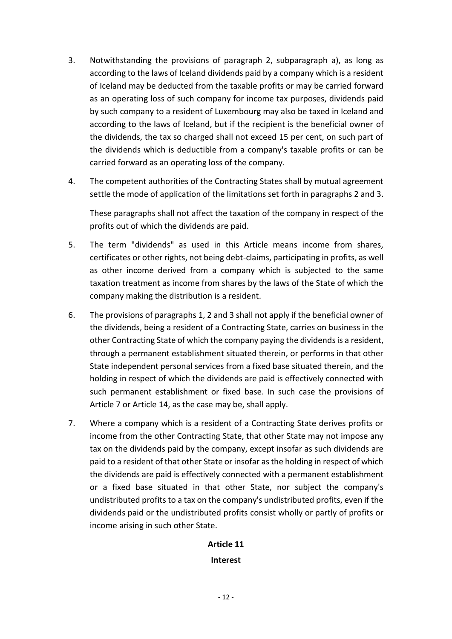- 3. Notwithstanding the provisions of paragraph 2, subparagraph a), as long as according to the laws of Iceland dividends paid by a company which is a resident of Iceland may be deducted from the taxable profits or may be carried forward as an operating loss of such company for income tax purposes, dividends paid by such company to a resident of Luxembourg may also be taxed in Iceland and according to the laws of Iceland, but if the recipient is the beneficial owner of the dividends, the tax so charged shall not exceed 15 per cent, on such part of the dividends which is deductible from a company's taxable profits or can be carried forward as an operating loss of the company.
- 4. The competent authorities of the Contracting States shall by mutual agreement settle the mode of application of the limitations set forth in paragraphs 2 and 3.

These paragraphs shall not affect the taxation of the company in respect of the profits out of which the dividends are paid.

- 5. The term "dividends" as used in this Article means income from shares, certificates or other rights, not being debt-claims, participating in profits, as well as other income derived from a company which is subjected to the same taxation treatment as income from shares by the laws of the State of which the company making the distribution is a resident.
- 6. The provisions of paragraphs 1, 2 and 3 shall not apply if the beneficial owner of the dividends, being a resident of a Contracting State, carries on business in the other Contracting State of which the company paying the dividends is a resident, through a permanent establishment situated therein, or performs in that other State independent personal services from a fixed base situated therein, and the holding in respect of which the dividends are paid is effectively connected with such permanent establishment or fixed base. In such case the provisions of Article 7 or Article 14, as the case may be, shall apply.
- 7. Where a company which is a resident of a Contracting State derives profits or income from the other Contracting State, that other State may not impose any tax on the dividends paid by the company, except insofar as such dividends are paid to a resident of that other State or insofar as the holding in respect of which the dividends are paid is effectively connected with a permanent establishment or a fixed base situated in that other State, nor subject the company's undistributed profits to a tax on the company's undistributed profits, even if the dividends paid or the undistributed profits consist wholly or partly of profits or income arising in such other State.

#### **Article 11**

### **Interest**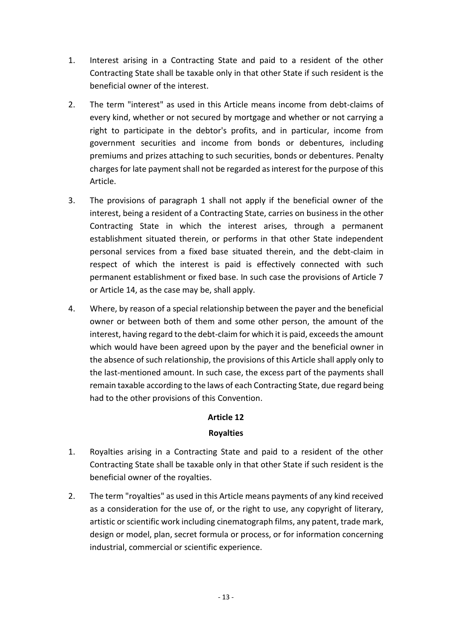- 1. Interest arising in a Contracting State and paid to a resident of the other Contracting State shall be taxable only in that other State if such resident is the beneficial owner of the interest.
- 2. The term "interest" as used in this Article means income from debt-claims of every kind, whether or not secured by mortgage and whether or not carrying a right to participate in the debtor's profits, and in particular, income from government securities and income from bonds or debentures, including premiums and prizes attaching to such securities, bonds or debentures. Penalty charges for late payment shall not be regarded as interest for the purpose of this Article.
- 3. The provisions of paragraph 1 shall not apply if the beneficial owner of the interest, being a resident of a Contracting State, carries on business in the other Contracting State in which the interest arises, through a permanent establishment situated therein, or performs in that other State independent personal services from a fixed base situated therein, and the debt-claim in respect of which the interest is paid is effectively connected with such permanent establishment or fixed base. In such case the provisions of Article 7 or Article 14, as the case may be, shall apply.
- 4. Where, by reason of a special relationship between the payer and the beneficial owner or between both of them and some other person, the amount of the interest, having regard to the debt-claim for which it is paid, exceeds the amount which would have been agreed upon by the payer and the beneficial owner in the absence of such relationship, the provisions of this Article shall apply only to the last-mentioned amount. In such case, the excess part of the payments shall remain taxable according to the laws of each Contracting State, due regard being had to the other provisions of this Convention.

#### **Royalties**

- 1. Royalties arising in a Contracting State and paid to a resident of the other Contracting State shall be taxable only in that other State if such resident is the beneficial owner of the royalties.
- 2. The term "royalties" as used in this Article means payments of any kind received as a consideration for the use of, or the right to use, any copyright of literary, artistic or scientific work including cinematograph films, any patent, trade mark, design or model, plan, secret formula or process, or for information concerning industrial, commercial or scientific experience.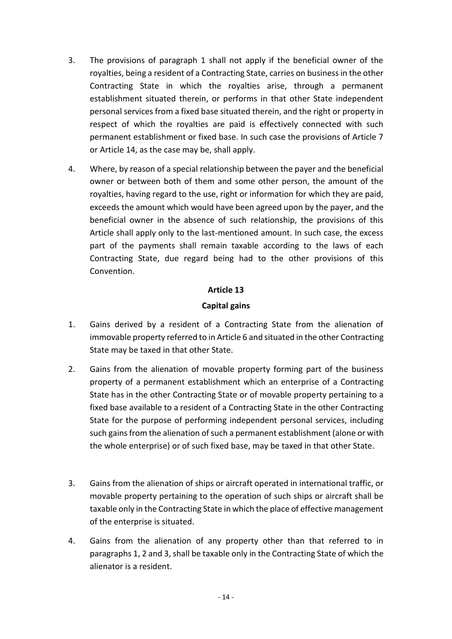- 3. The provisions of paragraph 1 shall not apply if the beneficial owner of the royalties, being a resident of a Contracting State, carries on business in the other Contracting State in which the royalties arise, through a permanent establishment situated therein, or performs in that other State independent personal services from a fixed base situated therein, and the right or property in respect of which the royalties are paid is effectively connected with such permanent establishment or fixed base. In such case the provisions of Article 7 or Article 14, as the case may be, shall apply.
- 4. Where, by reason of a special relationship between the payer and the beneficial owner or between both of them and some other person, the amount of the royalties, having regard to the use, right or information for which they are paid, exceeds the amount which would have been agreed upon by the payer, and the beneficial owner in the absence of such relationship, the provisions of this Article shall apply only to the last-mentioned amount. In such case, the excess part of the payments shall remain taxable according to the laws of each Contracting State, due regard being had to the other provisions of this Convention.

## **Capital gains**

- 1. Gains derived by a resident of a Contracting State from the alienation of immovable property referred to in Article 6 and situated in the other Contracting State may be taxed in that other State.
- 2. Gains from the alienation of movable property forming part of the business property of a permanent establishment which an enterprise of a Contracting State has in the other Contracting State or of movable property pertaining to a fixed base available to a resident of a Contracting State in the other Contracting State for the purpose of performing independent personal services, including such gains from the alienation of such a permanent establishment (alone or with the whole enterprise) or of such fixed base, may be taxed in that other State.
- 3. Gains from the alienation of ships or aircraft operated in international traffic, or movable property pertaining to the operation of such ships or aircraft shall be taxable only in the Contracting State in which the place of effective management of the enterprise is situated.
- 4. Gains from the alienation of any property other than that referred to in paragraphs 1, 2 and 3, shall be taxable only in the Contracting State of which the alienator is a resident.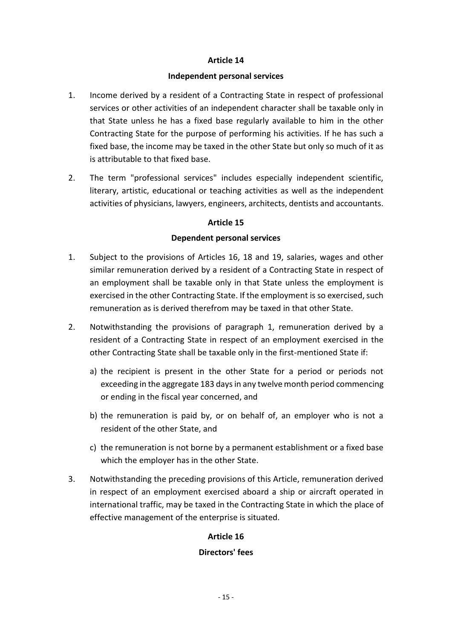#### **Independent personal services**

- 1. Income derived by a resident of a Contracting State in respect of professional services or other activities of an independent character shall be taxable only in that State unless he has a fixed base regularly available to him in the other Contracting State for the purpose of performing his activities. If he has such a fixed base, the income may be taxed in the other State but only so much of it as is attributable to that fixed base.
- 2. The term "professional services" includes especially independent scientific, literary, artistic, educational or teaching activities as well as the independent activities of physicians, lawyers, engineers, architects, dentists and accountants.

### **Article 15**

### **Dependent personal services**

- 1. Subject to the provisions of Articles 16, 18 and 19, salaries, wages and other similar remuneration derived by a resident of a Contracting State in respect of an employment shall be taxable only in that State unless the employment is exercised in the other Contracting State. If the employment is so exercised, such remuneration as is derived therefrom may be taxed in that other State.
- 2. Notwithstanding the provisions of paragraph 1, remuneration derived by a resident of a Contracting State in respect of an employment exercised in the other Contracting State shall be taxable only in the first-mentioned State if:
	- a) the recipient is present in the other State for a period or periods not exceeding in the aggregate 183 days in any twelve month period commencing or ending in the fiscal year concerned, and
	- b) the remuneration is paid by, or on behalf of, an employer who is not a resident of the other State, and
	- c) the remuneration is not borne by a permanent establishment or a fixed base which the employer has in the other State.
- 3. Notwithstanding the preceding provisions of this Article, remuneration derived in respect of an employment exercised aboard a ship or aircraft operated in international traffic, may be taxed in the Contracting State in which the place of effective management of the enterprise is situated.

### **Article 16**

### **Directors' fees**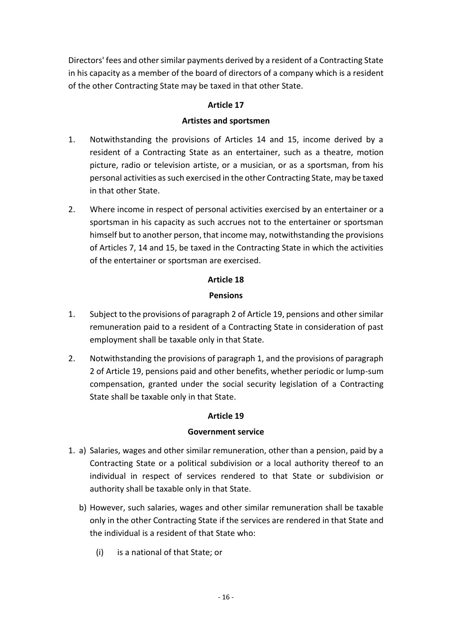Directors' fees and other similar payments derived by a resident of a Contracting State in his capacity as a member of the board of directors of a company which is a resident of the other Contracting State may be taxed in that other State.

## **Article 17**

## **Artistes and sportsmen**

- 1. Notwithstanding the provisions of Articles 14 and 15, income derived by a resident of a Contracting State as an entertainer, such as a theatre, motion picture, radio or television artiste, or a musician, or as a sportsman, from his personal activities as such exercised in the other Contracting State, may be taxed in that other State.
- 2. Where income in respect of personal activities exercised by an entertainer or a sportsman in his capacity as such accrues not to the entertainer or sportsman himself but to another person, that income may, notwithstanding the provisions of Articles 7, 14 and 15, be taxed in the Contracting State in which the activities of the entertainer or sportsman are exercised.

## **Article 18**

## **Pensions**

- 1. Subject to the provisions of paragraph 2 of Article 19, pensions and other similar remuneration paid to a resident of a Contracting State in consideration of past employment shall be taxable only in that State.
- 2. Notwithstanding the provisions of paragraph 1, and the provisions of paragraph 2 of Article 19, pensions paid and other benefits, whether periodic or lump-sum compensation, granted under the social security legislation of a Contracting State shall be taxable only in that State.

## **Article 19**

### **Government service**

- 1. a) Salaries, wages and other similar remuneration, other than a pension, paid by a Contracting State or a political subdivision or a local authority thereof to an individual in respect of services rendered to that State or subdivision or authority shall be taxable only in that State.
	- b) However, such salaries, wages and other similar remuneration shall be taxable only in the other Contracting State if the services are rendered in that State and the individual is a resident of that State who:
		- (i) is a national of that State; or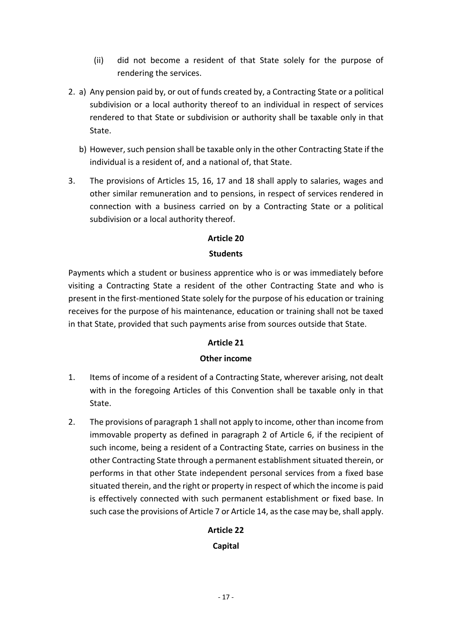- (ii) did not become a resident of that State solely for the purpose of rendering the services.
- 2. a) Any pension paid by, or out of funds created by, a Contracting State or a political subdivision or a local authority thereof to an individual in respect of services rendered to that State or subdivision or authority shall be taxable only in that State.
	- b) However, such pension shall be taxable only in the other Contracting State if the individual is a resident of, and a national of, that State.
- 3. The provisions of Articles 15, 16, 17 and 18 shall apply to salaries, wages and other similar remuneration and to pensions, in respect of services rendered in connection with a business carried on by a Contracting State or a political subdivision or a local authority thereof.

### **Students**

Payments which a student or business apprentice who is or was immediately before visiting a Contracting State a resident of the other Contracting State and who is present in the first-mentioned State solely for the purpose of his education or training receives for the purpose of his maintenance, education or training shall not be taxed in that State, provided that such payments arise from sources outside that State.

### **Article 21**

### **Other income**

- 1. Items of income of a resident of a Contracting State, wherever arising, not dealt with in the foregoing Articles of this Convention shall be taxable only in that State.
- 2. The provisions of paragraph 1 shall not apply to income, other than income from immovable property as defined in paragraph 2 of Article 6, if the recipient of such income, being a resident of a Contracting State, carries on business in the other Contracting State through a permanent establishment situated therein, or performs in that other State independent personal services from a fixed base situated therein, and the right or property in respect of which the income is paid is effectively connected with such permanent establishment or fixed base. In such case the provisions of Article 7 or Article 14, as the case may be, shall apply.

### **Article 22**

## **Capital**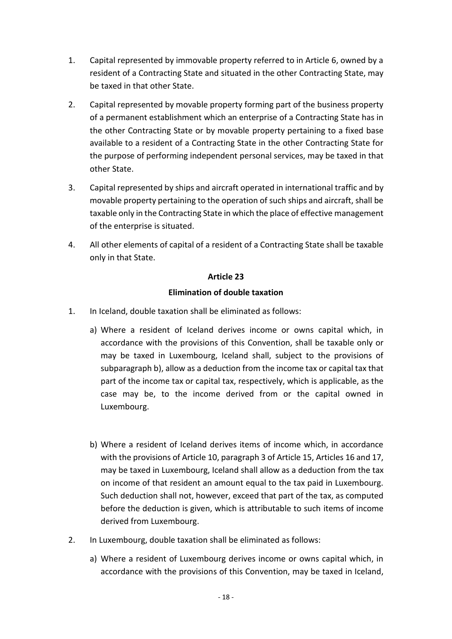- 1. Capital represented by immovable property referred to in Article 6, owned by a resident of a Contracting State and situated in the other Contracting State, may be taxed in that other State.
- 2. Capital represented by movable property forming part of the business property of a permanent establishment which an enterprise of a Contracting State has in the other Contracting State or by movable property pertaining to a fixed base available to a resident of a Contracting State in the other Contracting State for the purpose of performing independent personal services, may be taxed in that other State.
- 3. Capital represented by ships and aircraft operated in international traffic and by movable property pertaining to the operation of such ships and aircraft, shall be taxable only in the Contracting State in which the place of effective management of the enterprise is situated.
- 4. All other elements of capital of a resident of a Contracting State shall be taxable only in that State.

### **Elimination of double taxation**

- 1. In Iceland, double taxation shall be eliminated as follows:
	- a) Where a resident of Iceland derives income or owns capital which, in accordance with the provisions of this Convention, shall be taxable only or may be taxed in Luxembourg, Iceland shall, subject to the provisions of subparagraph b), allow as a deduction from the income tax or capital tax that part of the income tax or capital tax, respectively, which is applicable, as the case may be, to the income derived from or the capital owned in Luxembourg.
	- b) Where a resident of Iceland derives items of income which, in accordance with the provisions of Article 10, paragraph 3 of Article 15, Articles 16 and 17, may be taxed in Luxembourg, Iceland shall allow as a deduction from the tax on income of that resident an amount equal to the tax paid in Luxembourg. Such deduction shall not, however, exceed that part of the tax, as computed before the deduction is given, which is attributable to such items of income derived from Luxembourg.
- 2. In Luxembourg, double taxation shall be eliminated as follows:
	- a) Where a resident of Luxembourg derives income or owns capital which, in accordance with the provisions of this Convention, may be taxed in Iceland,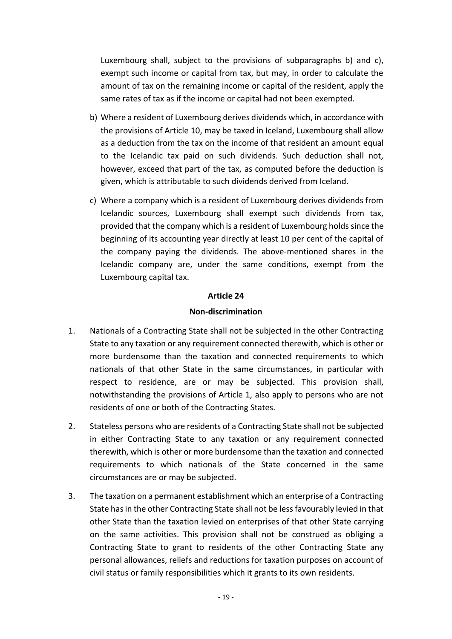Luxembourg shall, subject to the provisions of subparagraphs b) and c), exempt such income or capital from tax, but may, in order to calculate the amount of tax on the remaining income or capital of the resident, apply the same rates of tax as if the income or capital had not been exempted.

- b) Where a resident of Luxembourg derives dividends which, in accordance with the provisions of Article 10, may be taxed in Iceland, Luxembourg shall allow as a deduction from the tax on the income of that resident an amount equal to the Icelandic tax paid on such dividends. Such deduction shall not, however, exceed that part of the tax, as computed before the deduction is given, which is attributable to such dividends derived from Iceland.
- c) Where a company which is a resident of Luxembourg derives dividends from Icelandic sources, Luxembourg shall exempt such dividends from tax, provided that the company which is a resident of Luxembourg holds since the beginning of its accounting year directly at least 10 per cent of the capital of the company paying the dividends. The above-mentioned shares in the Icelandic company are, under the same conditions, exempt from the Luxembourg capital tax.

#### **Article 24**

#### **Non-discrimination**

- 1. Nationals of a Contracting State shall not be subjected in the other Contracting State to any taxation or any requirement connected therewith, which is other or more burdensome than the taxation and connected requirements to which nationals of that other State in the same circumstances, in particular with respect to residence, are or may be subjected. This provision shall, notwithstanding the provisions of Article 1, also apply to persons who are not residents of one or both of the Contracting States.
- 2. Stateless persons who are residents of a Contracting State shall not be subjected in either Contracting State to any taxation or any requirement connected therewith, which is other or more burdensome than the taxation and connected requirements to which nationals of the State concerned in the same circumstances are or may be subjected.
- 3. The taxation on a permanent establishment which an enterprise of a Contracting State has in the other Contracting State shall not be less favourably levied in that other State than the taxation levied on enterprises of that other State carrying on the same activities. This provision shall not be construed as obliging a Contracting State to grant to residents of the other Contracting State any personal allowances, reliefs and reductions for taxation purposes on account of civil status or family responsibilities which it grants to its own residents.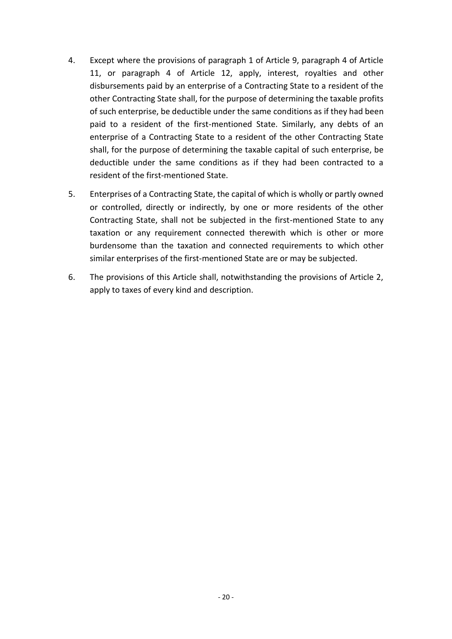- 4. Except where the provisions of paragraph 1 of Article 9, paragraph 4 of Article 11, or paragraph 4 of Article 12, apply, interest, royalties and other disbursements paid by an enterprise of a Contracting State to a resident of the other Contracting State shall, for the purpose of determining the taxable profits of such enterprise, be deductible under the same conditions as if they had been paid to a resident of the first-mentioned State. Similarly, any debts of an enterprise of a Contracting State to a resident of the other Contracting State shall, for the purpose of determining the taxable capital of such enterprise, be deductible under the same conditions as if they had been contracted to a resident of the first-mentioned State.
- 5. Enterprises of a Contracting State, the capital of which is wholly or partly owned or controlled, directly or indirectly, by one or more residents of the other Contracting State, shall not be subjected in the first-mentioned State to any taxation or any requirement connected therewith which is other or more burdensome than the taxation and connected requirements to which other similar enterprises of the first-mentioned State are or may be subjected.
- 6. The provisions of this Article shall, notwithstanding the provisions of Article 2, apply to taxes of every kind and description.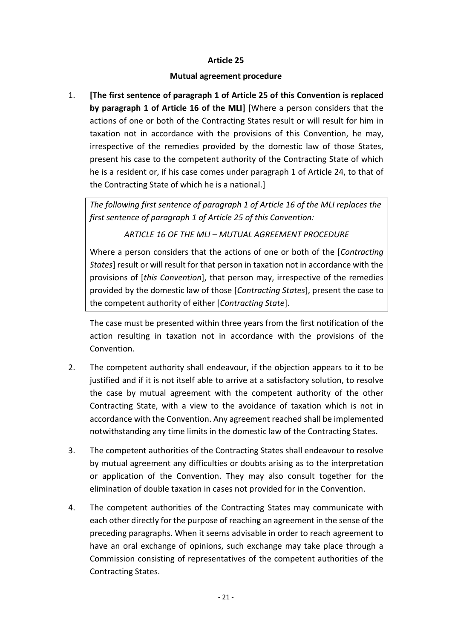#### **Mutual agreement procedure**

1. **[The first sentence of paragraph 1 of Article 25 of this Convention is replaced by paragraph 1 of Article 16 of the MLI]** [Where a person considers that the actions of one or both of the Contracting States result or will result for him in taxation not in accordance with the provisions of this Convention, he may, irrespective of the remedies provided by the domestic law of those States, present his case to the competent authority of the Contracting State of which he is a resident or, if his case comes under paragraph 1 of Article 24, to that of the Contracting State of which he is a national.]

*The following first sentence of paragraph 1 of Article 16 of the MLI replaces the first sentence of paragraph 1 of Article 25 of this Convention:*

*ARTICLE 16 OF THE MLI – MUTUAL AGREEMENT PROCEDURE*

Where a person considers that the actions of one or both of the [*Contracting States*] result or will result for that person in taxation not in accordance with the provisions of [*this Convention*], that person may, irrespective of the remedies provided by the domestic law of those [*Contracting States*], present the case to the competent authority of either [*Contracting State*].

The case must be presented within three years from the first notification of the action resulting in taxation not in accordance with the provisions of the Convention.

- 2. The competent authority shall endeavour, if the objection appears to it to be justified and if it is not itself able to arrive at a satisfactory solution, to resolve the case by mutual agreement with the competent authority of the other Contracting State, with a view to the avoidance of taxation which is not in accordance with the Convention. Any agreement reached shall be implemented notwithstanding any time limits in the domestic law of the Contracting States.
- 3. The competent authorities of the Contracting States shall endeavour to resolve by mutual agreement any difficulties or doubts arising as to the interpretation or application of the Convention. They may also consult together for the elimination of double taxation in cases not provided for in the Convention.
- 4. The competent authorities of the Contracting States may communicate with each other directly for the purpose of reaching an agreement in the sense of the preceding paragraphs. When it seems advisable in order to reach agreement to have an oral exchange of opinions, such exchange may take place through a Commission consisting of representatives of the competent authorities of the Contracting States.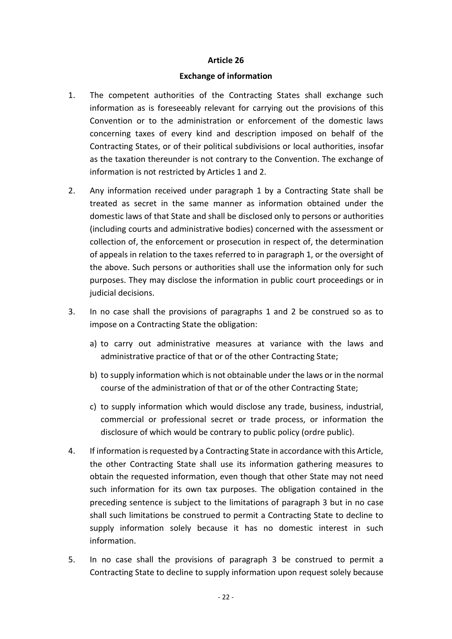#### **Exchange of information**

- 1. The competent authorities of the Contracting States shall exchange such information as is foreseeably relevant for carrying out the provisions of this Convention or to the administration or enforcement of the domestic laws concerning taxes of every kind and description imposed on behalf of the Contracting States, or of their political subdivisions or local authorities, insofar as the taxation thereunder is not contrary to the Convention. The exchange of information is not restricted by Articles 1 and 2.
- 2. Any information received under paragraph 1 by a Contracting State shall be treated as secret in the same manner as information obtained under the domestic laws of that State and shall be disclosed only to persons or authorities (including courts and administrative bodies) concerned with the assessment or collection of, the enforcement or prosecution in respect of, the determination of appeals in relation to the taxes referred to in paragraph 1, or the oversight of the above. Such persons or authorities shall use the information only for such purposes. They may disclose the information in public court proceedings or in judicial decisions.
- 3. In no case shall the provisions of paragraphs 1 and 2 be construed so as to impose on a Contracting State the obligation:
	- a) to carry out administrative measures at variance with the laws and administrative practice of that or of the other Contracting State;
	- b) to supply information which is not obtainable under the laws or in the normal course of the administration of that or of the other Contracting State;
	- c) to supply information which would disclose any trade, business, industrial, commercial or professional secret or trade process, or information the disclosure of which would be contrary to public policy (ordre public).
- 4. If information is requested by a Contracting State in accordance with this Article, the other Contracting State shall use its information gathering measures to obtain the requested information, even though that other State may not need such information for its own tax purposes. The obligation contained in the preceding sentence is subject to the limitations of paragraph 3 but in no case shall such limitations be construed to permit a Contracting State to decline to supply information solely because it has no domestic interest in such information.
- 5. In no case shall the provisions of paragraph 3 be construed to permit a Contracting State to decline to supply information upon request solely because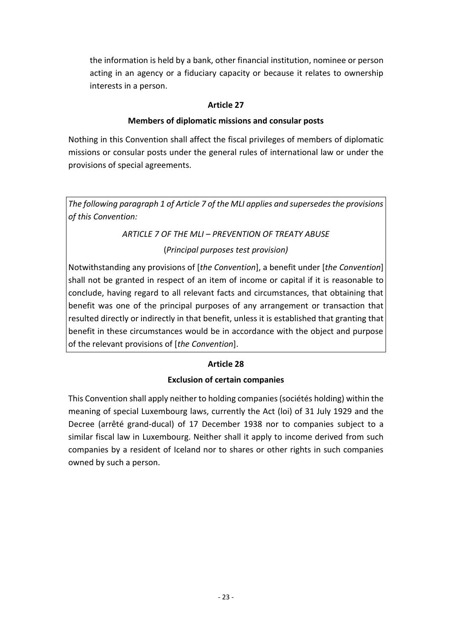the information is held by a bank, other financial institution, nominee or person acting in an agency or a fiduciary capacity or because it relates to ownership interests in a person.

### **Article 27**

## **Members of diplomatic missions and consular posts**

Nothing in this Convention shall affect the fiscal privileges of members of diplomatic missions or consular posts under the general rules of international law or under the provisions of special agreements.

*The following paragraph 1 of Article 7 of the MLI applies and supersedes the provisions of this Convention:*

## *ARTICLE 7 OF THE MLI – PREVENTION OF TREATY ABUSE*

## (*Principal purposes test provision)*

Notwithstanding any provisions of [*the Convention*], a benefit under [*the Convention*] shall not be granted in respect of an item of income or capital if it is reasonable to conclude, having regard to all relevant facts and circumstances, that obtaining that benefit was one of the principal purposes of any arrangement or transaction that resulted directly or indirectly in that benefit, unless it is established that granting that benefit in these circumstances would be in accordance with the object and purpose of the relevant provisions of [*the Convention*].

## **Article 28**

## **Exclusion of certain companies**

This Convention shall apply neither to holding companies (sociétés holding) within the meaning of special Luxembourg laws, currently the Act (loi) of 31 July 1929 and the Decree (arrêté grand-ducal) of 17 December 1938 nor to companies subject to a similar fiscal law in Luxembourg. Neither shall it apply to income derived from such companies by a resident of Iceland nor to shares or other rights in such companies owned by such a person.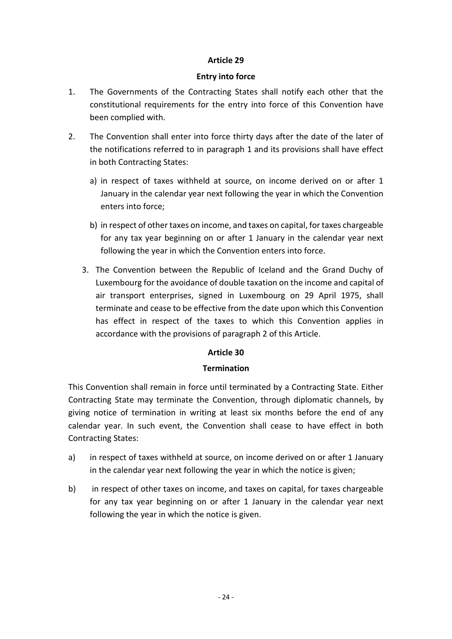#### **Entry into force**

- 1. The Governments of the Contracting States shall notify each other that the constitutional requirements for the entry into force of this Convention have been complied with.
- 2. The Convention shall enter into force thirty days after the date of the later of the notifications referred to in paragraph 1 and its provisions shall have effect in both Contracting States:
	- a) in respect of taxes withheld at source, on income derived on or after 1 January in the calendar year next following the year in which the Convention enters into force;
	- b) in respect of other taxes on income, and taxes on capital, for taxes chargeable for any tax year beginning on or after 1 January in the calendar year next following the year in which the Convention enters into force.
	- 3. The Convention between the Republic of Iceland and the Grand Duchy of Luxembourg for the avoidance of double taxation on the income and capital of air transport enterprises, signed in Luxembourg on 29 April 1975, shall terminate and cease to be effective from the date upon which this Convention has effect in respect of the taxes to which this Convention applies in accordance with the provisions of paragraph 2 of this Article.

### **Article 30**

### **Termination**

This Convention shall remain in force until terminated by a Contracting State. Either Contracting State may terminate the Convention, through diplomatic channels, by giving notice of termination in writing at least six months before the end of any calendar year. In such event, the Convention shall cease to have effect in both Contracting States:

- a) in respect of taxes withheld at source, on income derived on or after 1 January in the calendar year next following the year in which the notice is given;
- b) in respect of other taxes on income, and taxes on capital, for taxes chargeable for any tax year beginning on or after 1 January in the calendar year next following the year in which the notice is given.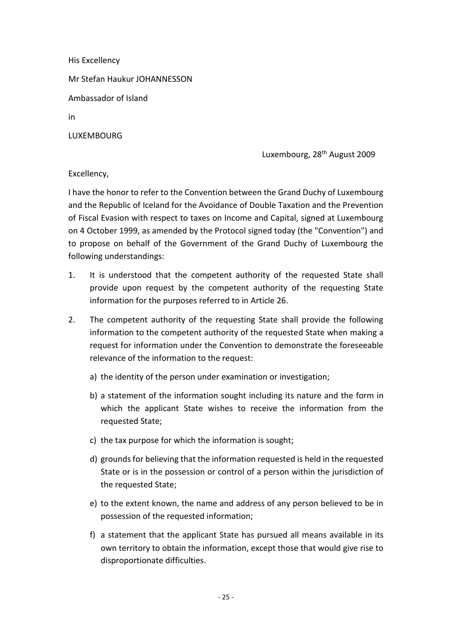His Excellency

Mr Stefan Haukur JOHANNESSON

Ambassador of Island

in

## LUXEMBOURG

## Luxembourg, 28<sup>th</sup> August 2009

Excellency,

I have the honor to refer to the Convention between the Grand Duchy of Luxembourg and the Republic of Iceland for the Avoidance of Double Taxation and the Prevention of Fiscal Evasion with respect to taxes on Income and Capital, signed at Luxembourg on 4 October 1999, as amended by the Protocol signed today (the "Convention") and to propose on behalf of the Government of the Grand Duchy of Luxembourg the following understandings:

- 1. It is understood that the competent authority of the requested State shall provide upon request by the competent authority of the requesting State information for the purposes referred to in Article 26.
- 2. The competent authority of the requesting State shall provide the following information to the competent authority of the requested State when making a request for information under the Convention to demonstrate the foreseeable relevance of the information to the request:
	- a) the identity of the person under examination or investigation;
	- b) a statement of the information sought including its nature and the form in which the applicant State wishes to receive the information from the requested State;
	- c) the tax purpose for which the information is sought;
	- d) grounds for believing that the information requested is held in the requested State or is in the possession or control of a person within the jurisdiction of the requested State;
	- e) to the extent known, the name and address of any person believed to be in possession of the requested information;
	- f) a statement that the applicant State has pursued all means available in its own territory to obtain the information, except those that would give rise to disproportionate difficulties.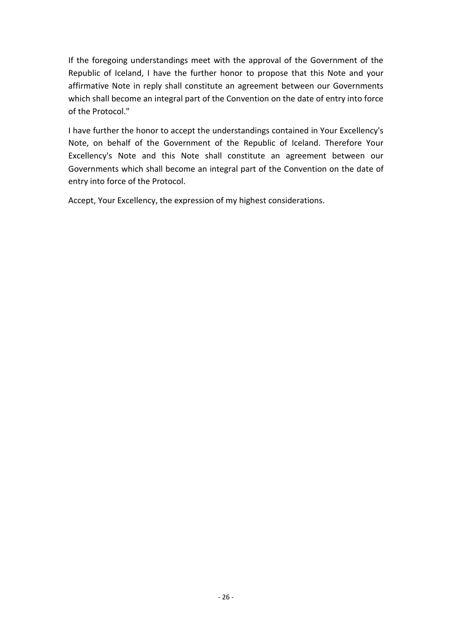If the foregoing understandings meet with the approval of the Government of the Republic of Iceland, I have the further honor to propose that this Note and your affirmative Note in reply shall constitute an agreement between our Governments which shall become an integral part of the Convention on the date of entry into force of the Protocol."

I have further the honor to accept the understandings contained in Your Excellency's Note, on behalf of the Government of the Republic of Iceland. Therefore Your Excellency's Note and this Note shall constitute an agreement between our Governments which shall become an integral part of the Convention on the date of entry into force of the Protocol.

Accept, Your Excellency, the expression of my highest considerations.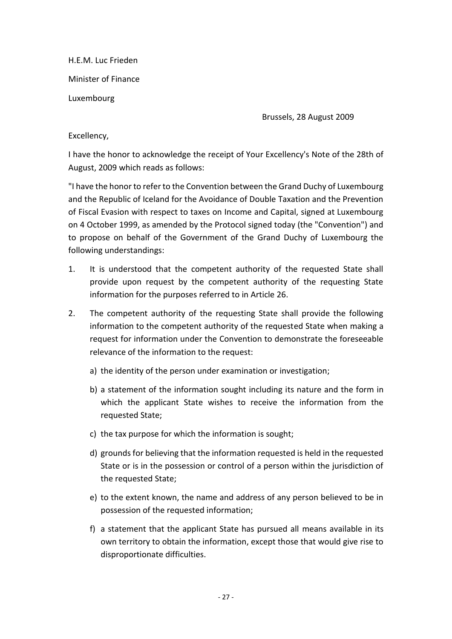H.E.M. Luc Frieden Minister of Finance

Luxembourg

Brussels, 28 August 2009

Excellency,

I have the honor to acknowledge the receipt of Your Excellency's Note of the 28th of August, 2009 which reads as follows:

"I have the honor to refer to the Convention between the Grand Duchy of Luxembourg and the Republic of Iceland for the Avoidance of Double Taxation and the Prevention of Fiscal Evasion with respect to taxes on Income and Capital, signed at Luxembourg on 4 October 1999, as amended by the Protocol signed today (the "Convention") and to propose on behalf of the Government of the Grand Duchy of Luxembourg the following understandings:

- 1. It is understood that the competent authority of the requested State shall provide upon request by the competent authority of the requesting State information for the purposes referred to in Article 26.
- 2. The competent authority of the requesting State shall provide the following information to the competent authority of the requested State when making a request for information under the Convention to demonstrate the foreseeable relevance of the information to the request:
	- a) the identity of the person under examination or investigation;
	- b) a statement of the information sought including its nature and the form in which the applicant State wishes to receive the information from the requested State;
	- c) the tax purpose for which the information is sought;
	- d) grounds for believing that the information requested is held in the requested State or is in the possession or control of a person within the jurisdiction of the requested State;
	- e) to the extent known, the name and address of any person believed to be in possession of the requested information;
	- f) a statement that the applicant State has pursued all means available in its own territory to obtain the information, except those that would give rise to disproportionate difficulties.